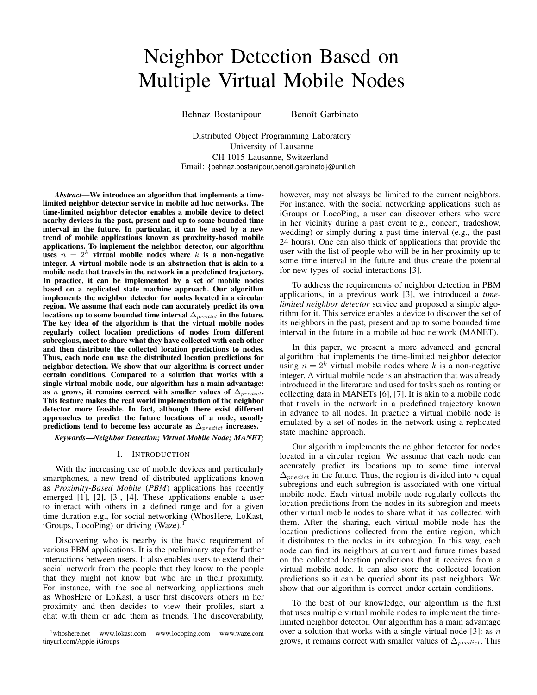# Neighbor Detection Based on Multiple Virtual Mobile Nodes

Behnaz Bostanipour Benoît Garbinato

Distributed Object Programming Laboratory University of Lausanne CH-1015 Lausanne, Switzerland Email: {behnaz.bostanipour,benoit.garbinato}@unil.ch

*Abstract*—We introduce an algorithm that implements a timelimited neighbor detector service in mobile ad hoc networks. The time-limited neighbor detector enables a mobile device to detect nearby devices in the past, present and up to some bounded time interval in the future. In particular, it can be used by a new trend of mobile applications known as proximity-based mobile applications. To implement the neighbor detector, our algorithm uses  $n = 2<sup>k</sup>$  virtual mobile nodes where k is a non-negative integer. A virtual mobile node is an abstraction that is akin to a mobile node that travels in the network in a predefined trajectory. In practice, it can be implemented by a set of mobile nodes based on a replicated state machine approach. Our algorithm implements the neighbor detector for nodes located in a circular region. We assume that each node can accurately predict its own locations up to some bounded time interval  $\Delta_{predict}$  in the future. The key idea of the algorithm is that the virtual mobile nodes regularly collect location predictions of nodes from different subregions, meet to share what they have collected with each other and then distribute the collected location predictions to nodes. Thus, each node can use the distributed location predictions for neighbor detection. We show that our algorithm is correct under certain conditions. Compared to a solution that works with a single virtual mobile node, our algorithm has a main advantage: as n grows, it remains correct with smaller values of  $\Delta_{predict}$ . This feature makes the real world implementation of the neighbor detector more feasible. In fact, although there exist different approaches to predict the future locations of a node, usually predictions tend to become less accurate as  $\Delta_{predict}$  increases.

*Keywords*—*Neighbor Detection; Virtual Mobile Node; MANET;*

# I. INTRODUCTION

With the increasing use of mobile devices and particularly smartphones, a new trend of distributed applications known as *Proximity-Based Mobile* (*PBM*) applications has recently emerged [1], [2], [3], [4]. These applications enable a user to interact with others in a defined range and for a given time duration e.g., for social networking (WhosHere, LoKast, iGroups, LocoPing) or driving  $(Waze)^{1}$ .

Discovering who is nearby is the basic requirement of various PBM applications. It is the preliminary step for further interactions between users. It also enables users to extend their social network from the people that they know to the people that they might not know but who are in their proximity. For instance, with the social networking applications such as WhosHere or LoKast, a user first discovers others in her proximity and then decides to view their profiles, start a chat with them or add them as friends. The discoverability,

however, may not always be limited to the current neighbors. For instance, with the social networking applications such as iGroups or LocoPing, a user can discover others who were in her vicinity during a past event (e.g., concert, tradeshow, wedding) or simply during a past time interval (e.g., the past 24 hours). One can also think of applications that provide the user with the list of people who will be in her proximity up to some time interval in the future and thus create the potential for new types of social interactions [3].

To address the requirements of neighbor detection in PBM applications, in a previous work [3], we introduced a *timelimited neighbor detector* service and proposed a simple algorithm for it. This service enables a device to discover the set of its neighbors in the past, present and up to some bounded time interval in the future in a mobile ad hoc network (MANET).

In this paper, we present a more advanced and general algorithm that implements the time-limited neighbor detector using  $n = 2<sup>k</sup>$  virtual mobile nodes where k is a non-negative integer. A virtual mobile node is an abstraction that was already introduced in the literature and used for tasks such as routing or collecting data in MANETs [6], [7]. It is akin to a mobile node that travels in the network in a predefined trajectory known in advance to all nodes. In practice a virtual mobile node is emulated by a set of nodes in the network using a replicated state machine approach.

Our algorithm implements the neighbor detector for nodes located in a circular region. We assume that each node can accurately predict its locations up to some time interval  $\Delta_{predict}$  in the future. Thus, the region is divided into *n* equal subregions and each subregion is associated with one virtual mobile node. Each virtual mobile node regularly collects the location predictions from the nodes in its subregion and meets other virtual mobile nodes to share what it has collected with them. After the sharing, each virtual mobile node has the location predictions collected from the entire region, which it distributes to the nodes in its subregion. In this way, each node can find its neighbors at current and future times based on the collected location predictions that it receives from a virtual mobile node. It can also store the collected location predictions so it can be queried about its past neighbors. We show that our algorithm is correct under certain conditions.

To the best of our knowledge, our algorithm is the first that uses multiple virtual mobile nodes to implement the timelimited neighbor detector. Our algorithm has a main advantage over a solution that works with a single virtual node [3]: as  $n$ grows, it remains correct with smaller values of  $\Delta_{predict}$ . This

<sup>1</sup>whoshere.net www.lokast.com www.locoping.com www.waze.com tinyurl.com/Apple-iGroups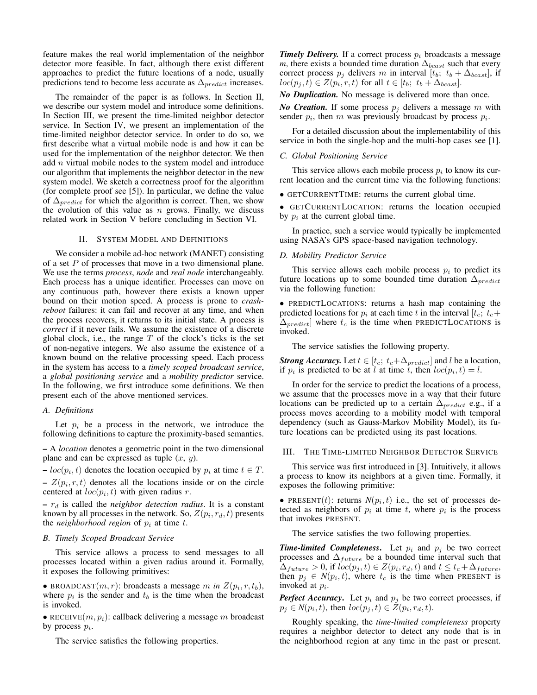feature makes the real world implementation of the neighbor detector more feasible. In fact, although there exist different approaches to predict the future locations of a node, usually predictions tend to become less accurate as  $\Delta_{predict}$  increases.

The remainder of the paper is as follows. In Section II, we describe our system model and introduce some definitions. In Section III, we present the time-limited neighbor detector service. In Section IV, we present an implementation of the time-limited neighbor detector service. In order to do so, we first describe what a virtual mobile node is and how it can be used for the implementation of the neighbor detector. We then add  $n$  virtual mobile nodes to the system model and introduce our algorithm that implements the neighbor detector in the new system model. We sketch a correctness proof for the algorithm (for complete proof see [5]). In particular, we define the value of  $\Delta_{predict}$  for which the algorithm is correct. Then, we show the evolution of this value as  $n$  grows. Finally, we discuss related work in Section V before concluding in Section VI.

# II. SYSTEM MODEL AND DEFINITIONS

We consider a mobile ad-hoc network (MANET) consisting of a set  $P$  of processes that move in a two dimensional plane. We use the terms *process*, *node* and *real node* interchangeably. Each process has a unique identifier. Processes can move on any continuous path, however there exists a known upper bound on their motion speed. A process is prone to *crashreboot* failures: it can fail and recover at any time, and when the process recovers, it returns to its initial state. A process is *correct* if it never fails. We assume the existence of a discrete global clock, i.e., the range  $T$  of the clock's ticks is the set of non-negative integers. We also assume the existence of a known bound on the relative processing speed. Each process in the system has access to a *timely scoped broadcast service*, a *global positioning service* and a *mobility predictor* service. In the following, we first introduce some definitions. We then present each of the above mentioned services.

## *A. Definitions*

Let  $p_i$  be a process in the network, we introduce the following definitions to capture the proximity-based semantics.

– A *location* denotes a geometric point in the two dimensional plane and can be expressed as tuple  $(x, y)$ .

 $- loc(p_i, t)$  denotes the location occupied by  $p_i$  at time  $t \in T$ .  $-Z(p_i, r, t)$  denotes all the locations inside or on the circle centered at  $loc(p_i, t)$  with given radius r.

 $- r_d$  is called the *neighbor detection radius*. It is a constant known by all processes in the network. So,  $Z(p_i, r_d, t)$  presents the *neighborhood region* of  $p_i$  at time t.

#### *B. Timely Scoped Broadcast Service*

This service allows a process to send messages to all processes located within a given radius around it. Formally, it exposes the following primitives:

• BROADCAST $(m, r)$ : broadcasts a message m in  $Z(p_i, r, t_b)$ , where  $p_i$  is the sender and  $t_b$  is the time when the broadcast is invoked.

• RECEIVE $(m, p_i)$ : callback delivering a message m broadcast by process  $p_i$ .

The service satisfies the following properties.

*Timely Delivery.* If a correct process  $p_i$  broadcasts a message *m*, there exists a bounded time duration  $\Delta_{bcast}$  such that every correct process  $p_j$  delivers m in interval [ $t_b$ ;  $t_b + \Delta_{\text{boxst}}$ ], if  $loc(p_j,t) \in Z(p_i,r,t)$  for all  $t \in [t_b; t_b + \Delta_{bcast}].$ 

*No Duplication.* No message is delivered more than once.

*No Creation.* If some process  $p_j$  delivers a message m with sender  $p_i$ , then m was previously broadcast by process  $p_i$ .

For a detailed discussion about the implementability of this service in both the single-hop and the multi-hop cases see [1].

## *C. Global Positioning Service*

This service allows each mobile process  $p_i$  to know its current location and the current time via the following functions:

• GETCURRENTTIME: returns the current global time.

• GETCURRENTLOCATION: returns the location occupied by  $p_i$  at the current global time.

In practice, such a service would typically be implemented using NASA's GPS space-based navigation technology.

## *D. Mobility Predictor Service*

This service allows each mobile process  $p_i$  to predict its future locations up to some bounded time duration  $\Delta_{predict}$ via the following function:

• PREDICTLOCATIONS: returns a hash map containing the predicted locations for  $p_i$  at each time t in the interval  $[t_c; t_c+$  $\Delta_{predict}$  where  $t_c$  is the time when PREDICTLOCATIONS is invoked.

The service satisfies the following property.

*Strong Accuracy.* Let  $t \in [t_c; t_c + \Delta_{predict}]$  and l be a location, if  $p_i$  is predicted to be at l at time t, then  $loc(p_i, t) = l$ .

In order for the service to predict the locations of a process, we assume that the processes move in a way that their future locations can be predicted up to a certain  $\Delta_{predict}$  e.g., if a process moves according to a mobility model with temporal dependency (such as Gauss-Markov Mobility Model), its future locations can be predicted using its past locations.

# III. THE TIME-LIMITED NEIGHBOR DETECTOR SERVICE

This service was first introduced in [3]. Intuitively, it allows a process to know its neighbors at a given time. Formally, it exposes the following primitive:

• PRESENT(*t*): returns  $N(p_i, t)$  i.e., the set of processes detected as neighbors of  $p_i$  at time t, where  $p_i$  is the process that invokes PRESENT.

The service satisfies the two following properties.

**Time-limited Completeness.** Let  $p_i$  and  $p_j$  be two correct processes and  $\Delta_{future}$  be a bounded time interval such that  $\Delta_{future} > 0$ , if  $loc(p_j, t) \in Z(p_i, r_d, t)$  and  $t \leq t_c + \Delta_{future}$ , then  $p_j \in N(p_i, t)$ , where  $t_c$  is the time when PRESENT is invoked at  $p_i$ .

*Perfect Accuracy*. Let  $p_i$  and  $p_j$  be two correct processes, if  $p_j \in N(p_i, t)$ , then  $loc(p_j, t) \in \overline{Z}(p_i, r_d, t)$ .

Roughly speaking, the *time-limited completeness* property requires a neighbor detector to detect any node that is in the neighborhood region at any time in the past or present.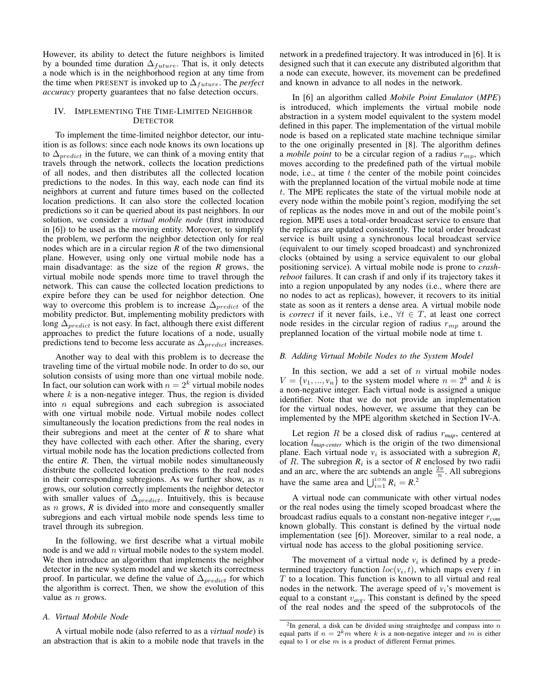However, its ability to detect the future neighbors is limited by a bounded time duration  $\Delta_{future}$ . That is, it only detects a node which is in the neighborhood region at any time from the time when PRESENT is invoked up to  $\Delta_{future}$ . The *perfect accuracy* property guarantees that no false detection occurs.

## IV. IMPLEMENTING THE TIME-LIMITED NEIGHBOR **DETECTOR**

To implement the time-limited neighbor detector, our intuition is as follows: since each node knows its own locations up to  $\Delta_{predict}$  in the future, we can think of a moving entity that travels through the network, collects the location predictions of all nodes, and then distributes all the collected location predictions to the nodes. In this way, each node can find its neighbors at current and future times based on the collected location predictions. It can also store the collected location predictions so it can be queried about its past neighbors. In our solution, we consider a *virtual mobile node* (first introduced in [6]) to be used as the moving entity. Moreover, to simplify the problem, we perform the neighbor detection only for real nodes which are in a circular region *R* of the two dimensional plane. However, using only one virtual mobile node has a main disadvantage: as the size of the region *R* grows, the virtual mobile node spends more time to travel through the network. This can cause the collected location predictions to expire before they can be used for neighbor detection. One way to overcome this problem is to increase  $\Delta_{predict}$  of the mobility predictor. But, implementing mobility predictors with long  $\Delta_{predict}$  is not easy. In fact, although there exist different approaches to predict the future locations of a node, usually predictions tend to become less accurate as  $\Delta_{predict}$  increases.

Another way to deal with this problem is to decrease the traveling time of the virtual mobile node. In order to do so, our solution consists of using more than one virtual mobile node. In fact, our solution can work with  $n = 2<sup>k</sup>$  virtual mobile nodes where  $k$  is a non-negative integer. Thus, the region is divided into  $n$  equal subregions and each subregion is associated with one virtual mobile node. Virtual mobile nodes collect simultaneously the location predictions from the real nodes in their subregions and meet at the center of *R* to share what they have collected with each other. After the sharing, every virtual mobile node has the location predictions collected from the entire *R*. Then, the virtual mobile nodes simultaneously distribute the collected location predictions to the real nodes in their corresponding subregions. As we further show, as  $n$ grows, our solution correctly implements the neighbor detector with smaller values of  $\Delta_{predict}$ . Intuitively, this is because as n grows, *R* is divided into more and consequently smaller subregions and each virtual mobile node spends less time to travel through its subregion.

In the following, we first describe what a virtual mobile node is and we add  $n$  virtual mobile nodes to the system model. We then introduce an algorithm that implements the neighbor detector in the new system model and we sketch its correctness proof. In particular, we define the value of  $\Delta_{predict}$  for which the algorithm is correct. Then, we show the evolution of this value as  $n$  grows.

# *A. Virtual Mobile Node*

A virtual mobile node (also referred to as a *virtual node*) is an abstraction that is akin to a mobile node that travels in the network in a predefined trajectory. It was introduced in [6]. It is designed such that it can execute any distributed algorithm that a node can execute, however, its movement can be predefined and known in advance to all nodes in the network.

In [6] an algorithm called *Mobile Point Emulator* (*MPE*) is introduced, which implements the virtual mobile node abstraction in a system model equivalent to the system model defined in this paper. The implementation of the virtual mobile node is based on a replicated state machine technique similar to the one originally presented in [8]. The algorithm defines a *mobile point* to be a circular region of a radius  $r_{mp}$ , which moves according to the predefined path of the virtual mobile node, i.e., at time  $t$  the center of the mobile point coincides with the preplanned location of the virtual mobile node at time t. The MPE replicates the state of the virtual mobile node at every node within the mobile point's region, modifying the set of replicas as the nodes move in and out of the mobile point's region. MPE uses a total-order broadcast service to ensure that the replicas are updated consistently. The total order broadcast service is built using a synchronous local broadcast service (equivalent to our timely scoped broadcast) and synchronized clocks (obtained by using a service equivalent to our global positioning service). A virtual mobile node is prone to *crashreboot* failures. It can crash if and only if its trajectory takes it into a region unpopulated by any nodes (i.e., where there are no nodes to act as replicas), however, it recovers to its initial state as soon as it renters a dense area. A virtual mobile node is *correct* if it never fails, i.e.,  $\forall t \in T$ , at least one correct node resides in the circular region of radius  $r_{mn}$  around the preplanned location of the virtual mobile node at time t.

#### *B. Adding Virtual Mobile Nodes to the System Model*

In this section, we add a set of  $n$  virtual mobile nodes  $V = \{v_1, ..., v_n\}$  to the system model where  $n = 2^k$  and k is a non-negative integer. Each virtual node is assigned a unique identifier. Note that we do not provide an implementation for the virtual nodes, however, we assume that they can be implemented by the MPE algorithm sketched in Section IV-A.

Let region  $R$  be a closed disk of radius  $r_{map}$ , centered at location l*map-center* which is the origin of the two dimensional plane. Each virtual node  $v_i$  is associated with a subregion  $R_i$ of  $R$ . The subregion  $R_i$  is a sector of  $R$  enclosed by two radii and an arc, where the arc subtends an angle  $\frac{2\pi}{n}$ . All subregions have the same area and  $\bigcup_{i=1}^{i=n} R_i = R^{-2}$ .

A virtual node can communicate with other virtual nodes or the real nodes using the timely scoped broadcast where the broadcast radius equals to a constant non-negative integer r*com* known globally. This constant is defined by the virtual node implementation (see [6]). Moreover, similar to a real node, a virtual node has access to the global positioning service.

The movement of a virtual node  $v_i$  is defined by a predetermined trajectory function  $loc(v_i, t)$ , which maps every t in  $T$  to a location. This function is known to all virtual and real nodes in the network. The average speed of  $v_i$ 's movement is equal to a constant v*avg*. This constant is defined by the speed of the real nodes and the speed of the subprotocols of the

<sup>&</sup>lt;sup>2</sup>In general, a disk can be divided using straightedge and compass into *n* equal parts if  $n = 2<sup>k</sup>m$  where *k* is a non-negative integer and *m* is either equal to 1 or else  $m$  is a product of different Fermat primes.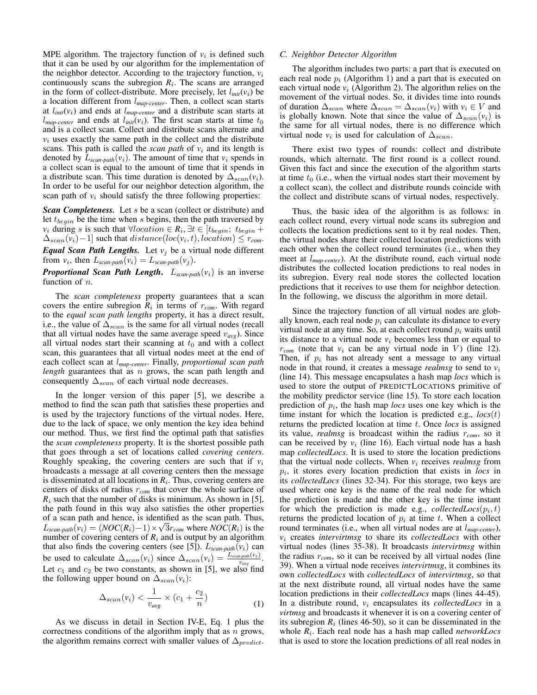MPE algorithm. The trajectory function of  $v_i$  is defined such that it can be used by our algorithm for the implementation of the neighbor detector. According to the trajectory function,  $v_i$ continuously scans the subregion  $R_i$ . The scans are arranged in the form of collect-distribute. More precisely, let  $l_{init}(v_i)$  be a location different from l*map-center*. Then, a collect scan starts at  $l_{init}(v_i)$  and ends at  $l_{map-center}$  and a distribute scan starts at  $l_{map-center}$  and ends at  $l_{init}(v_i)$ . The first scan starts at time  $t_0$ and is a collect scan. Collect and distribute scans alternate and  $v_i$  uses exactly the same path in the collect and the distribute scans. This path is called the *scan path* of  $v_i$  and its length is denoted by  $L_{scan-path}(v_i)$ . The amount of time that  $v_i$  spends in a collect scan is equal to the amount of time that it spends in a distribute scan. This time duration is denoted by  $\Delta_{scan}(v_i)$ . In order to be useful for our neighbor detection algorithm, the scan path of  $v_i$  should satisfy the three following properties:

*Scan Completeness.* Let s be a scan (collect or distribute) and let  $t_{begin}$  be the time when s begins, then the path traversed by *v<sub>i</sub>* during *s* is such that  $\forall location \in R_i, \exists t \in [t_{begin}; t_{begin}$  $\Delta_{scan}(v_i) - 1]$  such that  $distance(loc(v_i, t), location) \leq r_{com}$ .

*Equal Scan Path Lengths.* Let  $v_j$  be a virtual node different from  $v_i$ , then  $L_{scan\text{-}path}(v_i) = L_{scan\text{-}path}(v_j)$ .

# **Proportional Scan Path Length.**  $L_{scan\text{-}path}(v_i)$  is an inverse function of  $n$ .

The *scan completeness* property guarantees that a scan covers the entire subregion  $R_i$  in terms of  $r_{com}$ . With regard to the *equal scan path lengths* property, it has a direct result, i.e., the value of  $\Delta_{scan}$  is the same for all virtual nodes (recall that all virtual nodes have the same average speed  $v_{avg}$ ). Since all virtual nodes start their scanning at  $t_0$  and with a collect scan, this guarantees that all virtual nodes meet at the end of each collect scan at l*map-center*. Finally, *proportional scan path length* guarantees that as *n* grows, the scan path length and consequently  $\Delta_{scan}$  of each virtual node decreases.

In the longer version of this paper [5], we describe a method to find the scan path that satisfies these properties and is used by the trajectory functions of the virtual nodes. Here, due to the lack of space, we only mention the key idea behind our method. Thus, we first find the optimal path that satisfies the *scan completeness* property. It is the shortest possible path that goes through a set of locations called *covering centers*. Roughly speaking, the covering centers are such that if  $v_i$ broadcasts a message at all covering centers then the message is disseminated at all locations in  $R<sub>i</sub>$ . Thus, covering centers are centers of disks of radius r*com* that cover the whole surface of  $R_i$  such that the number of disks is minimum. As shown in [5], the path found in this way also satisfies the other properties of a scan path and hence, is identified as the scan path. Thus, √  $L_{scan\text{-}path}(v_i) = (NOC(R_i)-1) \times \sqrt{3r_{com}}$  where  $NOC(R_i)$  is the number of covering centers of  $R_i$  and is output by an algorithm that also finds the covering centers (see [5]).  $L_{scan\text{-}path}(v_i)$  can be used to calculate  $\Delta_{scan}(v_i)$  since  $\Delta_{scan}(v_i) = \frac{L_{scanpath}(v_i)}{v_{avg}}$ . Let  $c_1$  and  $c_2$  be two constants, as shown in [5], we also find the following upper bound on  $\Delta_{scan}(v_i)$ :

$$
\Delta_{scan}(v_i) < \frac{1}{v_{avg}} \times (c_1 + \frac{c_2}{n}) \tag{1}
$$

As we discuss in detail in Section IV-E, Eq. 1 plus the correctness conditions of the algorithm imply that as  $n$  grows, the algorithm remains correct with smaller values of  $\Delta_{predict}$ .

#### *C. Neighbor Detector Algorithm*

The algorithm includes two parts: a part that is executed on each real node  $p_i$  (Algorithm 1) and a part that is executed on each virtual node  $v_i$  (Algorithm 2). The algorithm relies on the movement of the virtual nodes. So, it divides time into rounds of duration  $\Delta_{scan}$  where  $\Delta_{scan} = \Delta_{scan}(v_i)$  with  $v_i \in V$  and is globally known. Note that since the value of  $\Delta_{scan}(v_i)$  is the same for all virtual nodes, there is no difference which virtual node  $v_i$  is used for calculation of  $\Delta_{scan}$ .

There exist two types of rounds: collect and distribute rounds, which alternate. The first round is a collect round. Given this fact and since the execution of the algorithm starts at time  $t_0$  (i.e., when the virtual nodes start their movement by a collect scan), the collect and distribute rounds coincide with the collect and distribute scans of virtual nodes, respectively.

Thus, the basic idea of the algorithm is as follows: in each collect round, every virtual node scans its subregion and collects the location predictions sent to it by real nodes. Then, the virtual nodes share their collected location predictions with each other when the collect round terminates (i.e., when they meet at l*map-center*). At the distribute round, each virtual node distributes the collected location predictions to real nodes in its subregion. Every real node stores the collected location predictions that it receives to use them for neighbor detection. In the following, we discuss the algorithm in more detail.

Since the trajectory function of all virtual nodes are globally known, each real node  $p_i$  can calculate its distance to every virtual node at any time. So, at each collect round  $p_i$  waits until its distance to a virtual node  $v_i$  becomes less than or equal to  $r_{com}$  (note that  $v_i$  can be any virtual node in V) (line 12). Then, if  $p_i$  has not already sent a message to any virtual node in that round, it creates a message *realmsg* to send to *v*<sup>i</sup> (line 14). This message encapsulates a hash map *locs* which is used to store the output of PREDICTLOCATIONS primitive of the mobility predictor service (line 15). To store each location prediction of  $p_i$ , the hash map *locs* uses one key which is the time instant for which the location is predicted e.g., *locs*(t) returns the predicted location at time t. Once *locs* is assigned its value, *realmsg* is broadcast within the radius r*com*, so it can be received by  $v_i$  (line 16). Each virtual node has a hash map *collectedLocs*. It is used to store the location predictions that the virtual node collects. When  $v_i$  receives *realmsg* from pi , it stores every location prediction that exists in *locs* in its *collectedLocs* (lines 32-34). For this storage, two keys are used where one key is the name of the real node for which the prediction is made and the other key is the time instant for which the prediction is made e.g.,  $collectedLocs(p_i, t)$ returns the predicted location of  $p_i$  at time t. When a collect round terminates (i.e., when all virtual nodes are at l*map-center*), *v*<sup>i</sup> creates *intervirtmsg* to share its *collectedLocs* with other virtual nodes (lines 35-38). It broadcasts *intervirtmsg* within the radius  $r_{com}$ , so it can be received by all virtual nodes (line 39). When a virtual node receives *intervirtmsg*, it combines its own *collectedLocs* with *collectedLocs* of *intervirtmsg*, so that at the next distribute round, all virtual nodes have the same location predictions in their *collectedLocs* maps (lines 44-45). In a distribute round, *v*<sup>i</sup> encapsulates its *collectedLocs* in a *virtmsg* and broadcasts it whenever it is on a covering center of its subregion  $R_i$  (lines 46-50), so it can be disseminated in the whole *R*<sup>i</sup> . Each real node has a hash map called *networkLocs* that is used to store the location predictions of all real nodes in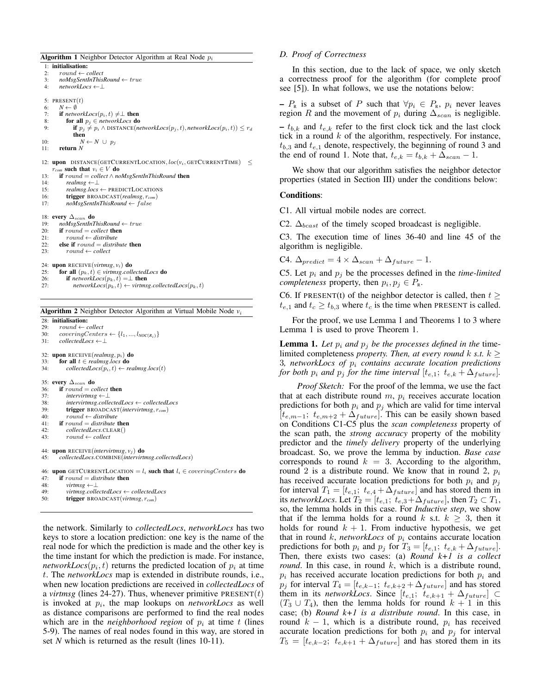**Algorithm 1** Neighbor Detector Algorithm at Real Node  $p_i$ 1: initialisation: 2: round ← *collect* 3: *noMsgSentInThisRound* ← true 4: *networkLocs* ←⊥ 5: PRESENT $(t)$ 6:  $N \leftarrow \emptyset$ 7: **if**  $networkLoss(p_i, t) \neq \perp$  **then** 8: **for all**  $p_i \in networkLoss$  **do** 9: **if**  $p_j \neq p_i \land \text{DISTANCE}(networkLoss(p_j, t), networkLoss(p_i, t)) \leq r_d$ then 10:  $N \leftarrow N \cup p_j$ 11: return *N* 12: upon DISTANCE(GETCURRENTLOCATION,  $loc(v_i, GETCURRENTIME) \leq$  $r_{com}$  such that  $v_i \in V$  do 13: **if**  $round = collect \land noMsgSentInThisRound$  **then** 14:  $realms \leftarrow \perp$ 14: *realmsg* ←⊥ 15: *realmsg.locs* ← PREDICTLOCATIONS<br>16: **trigger** BROADCAST(*realmsg.r<sub>com</sub>*) 16: **trigger** BROADCAST(*realmsg*, *r<sub>com</sub>*)<br>17: *noMsgSentInThisRound* ← *f* alse 17: *noMsgSentInThisRound* ← f alse 18: **every**  $\Delta_{scan}$  **do**<br>19: *noMsgSentInT* 19: *noMsgSentInThisRound* ← true 20: if round = *collect* then 21:  $round \leftarrow distribute$ <br>22: **else if**  $round = distri$ 22: **else if**  $round = distribute$  **then**<br>23: **cound**  $\leftarrow$  collect  $round \leftarrow collect$ 24: upon RECEIVE(*virtmsg*,  $v_i$ ) do<br>25: for all  $(p_i, t) \in \textit{virtmse}$ .coll for all  $(p_k, t) \in \textit{virtmsg}.\textit{collectedLocs}$  do 26: **if**  $networkLoss(p_k, t) = \perp$  **then**<br>27:  $networkLoss(p_k, t) \leftarrow \text{virtms}$ 

 $networkLoss(p_k, t) \gets virtmsg. collectedLoss(p_k, t)$ Algorithm 2 Neighbor Detector Algorithm at Virtual Mobile Node *v*<sup>i</sup> 28: **initialisation:**<br>29:  $round \leftarrow c$  $round \leftarrow collect$ 30:  $coveringCenters \leftarrow \{l_1, ..., l_{NOC(R_i)}\}$ <br>31:  $collectedLoss \leftarrow \cup$ 31: *collectedLocs* ←⊥ 32: upon RECEIVE(*realmsg*, pi) do 33: **for all**  $t \in$  *realmsg.locs* **do**<br>34: *collectedLocs*( $p_i$ ,  $t$ )  $\leftarrow$  *re*  $collectedLoss(p_i, t) \leftarrow realmsg. *locs*(t)$ 35: **every**  $\Delta_{scan}$  **do**<br>36: **if** round = co 36: **if** round = collect **then**<br>37: **intervirims**  $\xi \leftarrow \bot$ 37: *intervirtmsg* ←⊥ 38: *intervirtmsg*.*collectedLocs* ← *collectedLocs* 39: **trigger** BROADCAST(*intervirtmsg*,  $r_{com}$ )<br>40:  $round \leftarrow distribute$ 40:  $round \leftarrow distribute$ <br>41: **if**  $round = distribute$ if  $round =$  *distribute* then 42: *collectedLocs*.CLEAR() 43: round ← *collect* 44: **upon** RECEIVE(*intervirtmsg*, *v<sub>j</sub>*) **do**<br>45: *collectedLocs COMBINE*(*intervirti* 45: *collectedLocs*.COMBINE(*intervirtmsg*.*collectedLocs*) 46: upon GETCURRENTLOCATION =  $l_i$  such that  $l_i \in coveringCenters$  do 47: if round = *distribute* then 48: *virtmsg* ←⊥ 49: *virtmsg*.*collectedLocs* ← *collectedLocs* 50: trigger BROADCAST(*virtmsg*, r*com*)

the network. Similarly to *collectedLocs*, *networkLocs* has two keys to store a location prediction: one key is the name of the real node for which the prediction is made and the other key is the time instant for which the prediction is made. For instance, *networkLocs* $(p_i, t)$  returns the predicted location of  $p_i$  at time t. The *networkLocs* map is extended in distribute rounds, i.e., when new location predictions are received in *collectedLocs* of a *virtmsg* (lines 24-27). Thus, whenever primitive  $PRESENT(t)$ is invoked at  $p_i$ , the map lookups on *networkLocs* as well as distance comparisons are performed to find the real nodes which are in the *neighborhood region* of  $p_i$  at time t (lines 5-9). The names of real nodes found in this way, are stored in set *N* which is returned as the result (lines 10-11).

## *D. Proof of Correctness*

In this section, due to the lack of space, we only sketch a correctness proof for the algorithm (for complete proof see [5]). In what follows, we use the notations below:

–  $P_{\rm R}$  is a subset of P such that  $\forall p_i \in P_{\rm R}$ ,  $p_i$  never leaves region R and the movement of  $p_i$  during  $\Delta_{scan}$  is negligible.

 $- t_{b,k}$  and  $t_{e,k}$  refer to the first clock tick and the last clock tick in a round  $k$  of the algorithm, respectively. For instance,  $t_{b,3}$  and  $t_{e,1}$  denote, respectively, the beginning of round 3 and the end of round 1. Note that,  $t_{e,k} = t_{b,k} + \Delta_{scan} - 1$ .

We show that our algorithm satisfies the neighbor detector properties (stated in Section III) under the conditions below:

## Conditions:

C1. All virtual mobile nodes are correct.

C2.  $\Delta_{beast}$  of the timely scoped broadcast is negligible.

C3. The execution time of lines 36-40 and line 45 of the algorithm is negligible.

C4.  $\Delta_{predict} = 4 \times \Delta_{scan} + \Delta_{future} - 1$ .

C5. Let  $p_i$  and  $p_j$  be the processes defined in the *time-limited completeness* property, then  $p_i, p_j \in P_R$ .

C6. If PRESENT(t) of the neighbor detector is called, then  $t \geq$  $t_{e,1}$  and  $t_c \geq t_{b,3}$  where  $t_c$  is the time when PRESENT is called.

For the proof, we use Lemma 1 and Theorems 1 to 3 where Lemma 1 is used to prove Theorem 1.

**Lemma 1.** Let  $p_i$  and  $p_j$  be the processes defined in the timelimited completeness *property. Then, at every round* k *s.t.*  $k \geq$ 3*, networkLocs of* p<sup>i</sup> *contains accurate location predictions for both*  $p_i$  *and*  $p_j$  *for the time interval*  $[t_{e,1}; t_{e,k} + \Delta_{future}]$ *.* 

*Proof Sketch:* For the proof of the lemma, we use the fact that at each distribute round  $m$ ,  $p_i$  receives accurate location predictions for both  $p_i$  and  $p_j$  which are valid for time interval  $[t_{e,m-1}; t_{e,m+2} + \Delta_{future}]$ . This can be easily shown based on Conditions C1-C5 plus the *scan completeness* property of the scan path, the *strong accuracy* property of the mobility predictor and the *timely delivery* property of the underlying broadcast. So, we prove the lemma by induction. *Base case* corresponds to round  $k = 3$ . According to the algorithm, round 2 is a distribute round. We know that in round 2,  $p_i$ has received accurate location predictions for both  $p_i$  and  $p_j$ for interval  $T_1 = [t_{e,1}; t_{e,4} + \Delta_{future}]$  and has stored them in its *networkLocs*. Let  $T_2 = [t_{e,1}; t_{e,3}+\Delta_{future}]$ , then  $T_2 \subset T_1$ , so, the lemma holds in this case. For *Inductive step*, we show that if the lemma holds for a round k s.t.  $k > 3$ , then it holds for round  $k + 1$ . From inductive hypothesis, we get that in round  $k$ , *networkLocs* of  $p_i$  contains accurate location predictions for both  $p_i$  and  $p_j$  for  $T_3 = [t_{e,1}; t_{e,k} + \Delta_{future}].$ Then, there exists two cases: (a) *Round k+1 is a collect round*. In this case, in round  $k$ , which is a distribute round,  $p_i$  has received accurate location predictions for both  $p_i$  and  $p_j$  for interval  $T_4 = [t_{e,k-1}; t_{e,k+2} + \Delta_{future}]$  and has stored them in its *networkLocs*. Since  $[t_{e,1}; t_{e,k+1} + \Delta_{future}] \subset$  $(T_3 \cup T_4)$ , then the lemma holds for round  $k + 1$  in this case; (b) *Round k+1 is a distribute round*. In this case, in round  $k - 1$ , which is a distribute round,  $p_i$  has received accurate location predictions for both  $p_i$  and  $p_j$  for interval  $T_5 = [t_{e,k-2}; t_{e,k+1} + \Delta_{future}]$  and has stored them in its